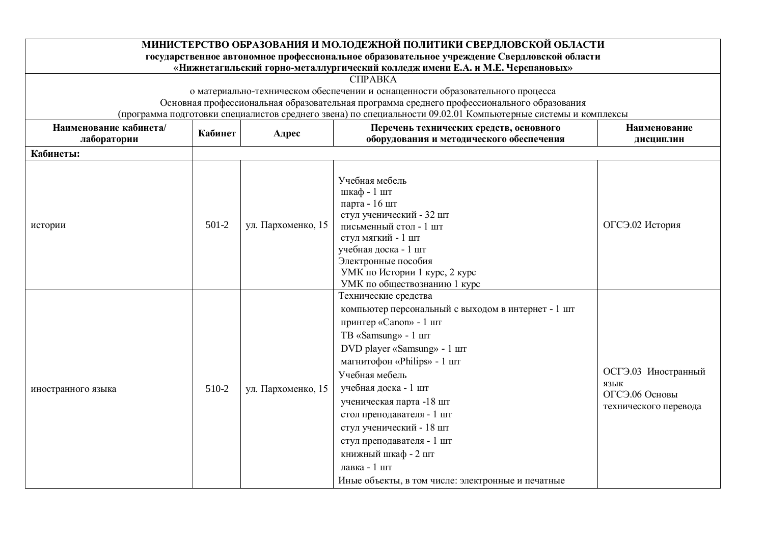|                                       |         |                    | МИНИСТЕРСТВО ОБРАЗОВАНИЯ И МОЛОДЕЖНОЙ ПОЛИТИКИ СВЕРДЛОВСКОЙ ОБЛАСТИ<br>государственное автономное профессиональное образовательное учреждение Свердловской области<br>«Нижнетагильский горно-металлургический колледж имени Е.А. и М.Е. Черепановых»                                                                                                                                                                                              |                                                                        |
|---------------------------------------|---------|--------------------|---------------------------------------------------------------------------------------------------------------------------------------------------------------------------------------------------------------------------------------------------------------------------------------------------------------------------------------------------------------------------------------------------------------------------------------------------|------------------------------------------------------------------------|
|                                       |         |                    | СПРАВКА                                                                                                                                                                                                                                                                                                                                                                                                                                           |                                                                        |
|                                       |         |                    | о материально-техническом обеспечении и оснащенности образовательного процесса                                                                                                                                                                                                                                                                                                                                                                    |                                                                        |
|                                       |         |                    | Основная профессиональная образовательная программа среднего профессионального образования                                                                                                                                                                                                                                                                                                                                                        |                                                                        |
|                                       |         |                    | (программа подготовки специалистов среднего звена) по специальности 09.02.01 Компьютерные системы и комплексы                                                                                                                                                                                                                                                                                                                                     |                                                                        |
| Наименование кабинета/<br>лаборатории | Кабинет | Адрес              | Перечень технических средств, основного<br>оборудования и методического обеспечения                                                                                                                                                                                                                                                                                                                                                               | Наименование<br>дисциплин                                              |
| Кабинеты:                             |         |                    |                                                                                                                                                                                                                                                                                                                                                                                                                                                   |                                                                        |
| истории                               | $501-2$ | ул. Пархоменко, 15 | Учебная мебель<br>шкаф - 1 шт<br>парта - 16 шт<br>стул ученический - 32 шт<br>письменный стол - 1 шт<br>стул мягкий - 1 шт<br>учебная доска - 1 шт<br>Электронные пособия<br>УМК по Истории 1 курс, 2 курс<br>УМК по обществознанию 1 курс                                                                                                                                                                                                        | ОГСЭ.02 История                                                        |
| иностранного языка                    | 510-2   | ул. Пархоменко, 15 | Технические средства<br>компьютер персональный с выходом в интернет - 1 шт<br>принтер «Canon» - 1 шт<br>TB «Samsung» - 1 шт<br>DVD player «Samsung» - 1 шт<br>магнитофон «Philips» - 1 шт<br>Учебная мебель<br>учебная доска - 1 шт<br>ученическая парта -18 шт<br>стол преподавателя - 1 шт<br>стул ученический - 18 шт<br>стул преподавателя - 1 шт<br>книжный шкаф - 2 шт<br>лавка - 1 шт<br>Иные объекты, в том числе: электронные и печатные | ОСГЭ.03 Иностранный<br>ЯЗЫК<br>ОГСЭ.06 Основы<br>технического перевода |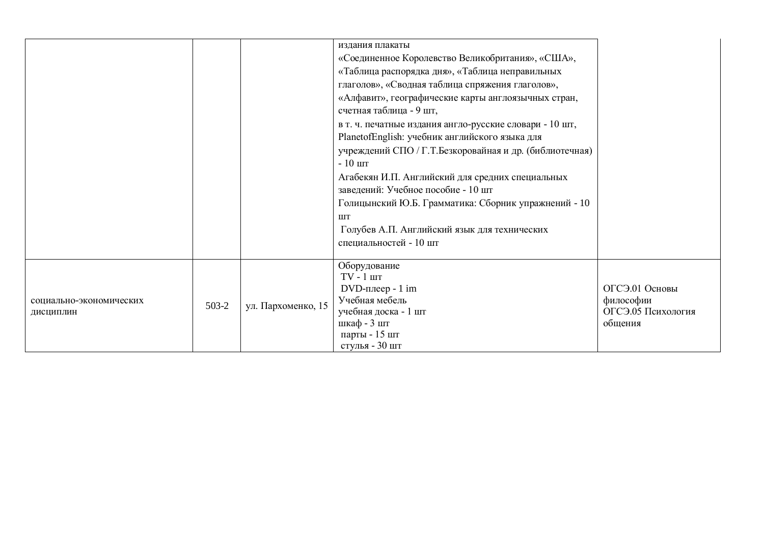|                                      |         |                    | издания плакаты<br>«Соединенное Королевство Великобритания», «США»,<br>«Таблица распорядка дня», «Таблица неправильных<br>глаголов», «Сводная таблица спряжения глаголов»,<br>«Алфавит», географические карты англоязычных стран,<br>счетная таблица - 9 шт,<br>в т. ч. печатные издания англо-русские словари - 10 шт,<br>PlanetofEnglish: учебник английского языка для<br>учреждений СПО / Г.Т.Безкоровайная и др. (библиотечная)<br>$-10$ $\mu$ T<br>Агабекян И.П. Английский для средних специальных<br>заведений: Учебное пособие - 10 шт<br>Голицынский Ю.Б. Грамматика: Сборник упражнений - 10 |                                                              |
|--------------------------------------|---------|--------------------|---------------------------------------------------------------------------------------------------------------------------------------------------------------------------------------------------------------------------------------------------------------------------------------------------------------------------------------------------------------------------------------------------------------------------------------------------------------------------------------------------------------------------------------------------------------------------------------------------------|--------------------------------------------------------------|
|                                      |         |                    | Голубев А.П. Английский язык для технических<br>специальностей - 10 шт                                                                                                                                                                                                                                                                                                                                                                                                                                                                                                                                  |                                                              |
| социально-экономических<br>дисциплин | $503-2$ | ул. Пархоменко, 15 | Оборудование<br>$TV - 1$ $T$<br>$DVD$ -плеер - 1 im<br>Учебная мебель<br>учебная доска - 1 шт<br>шкаф - 3 шт<br>парты - 15 шт<br>стулья - 30 шт                                                                                                                                                                                                                                                                                                                                                                                                                                                         | ОГСЭ.01 Основы<br>философии<br>ОГСЭ.05 Психология<br>общения |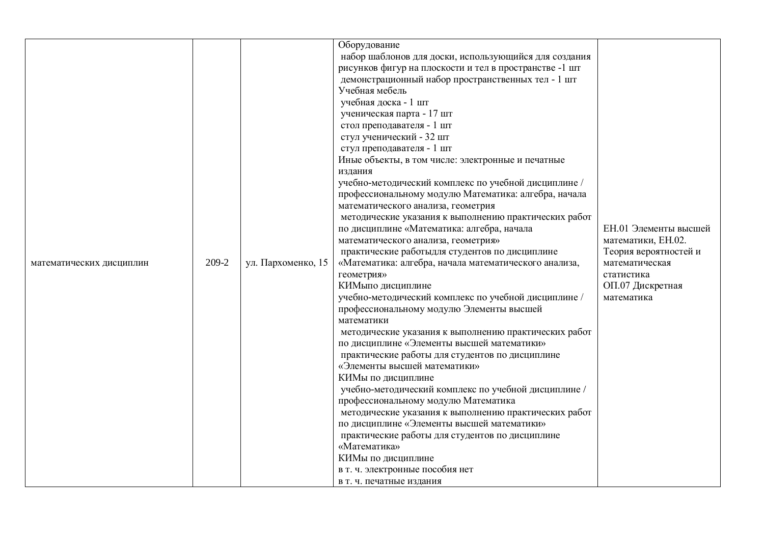|                          |       |                    | Оборудование                                           |                       |
|--------------------------|-------|--------------------|--------------------------------------------------------|-----------------------|
|                          |       |                    | набор шаблонов для доски, использующийся для создания  |                       |
|                          |       |                    | рисунков фигур на плоскости и тел в пространстве -1 шт |                       |
|                          |       |                    | демонстрационный набор пространственных тел - 1 шт     |                       |
|                          |       |                    | Учебная мебель                                         |                       |
|                          |       |                    | учебная доска - 1 шт                                   |                       |
|                          |       |                    | ученическая парта - 17 шт                              |                       |
|                          |       |                    | стол преподавателя - 1 шт                              |                       |
|                          |       |                    | стул ученический - 32 шт                               |                       |
|                          |       |                    | стул преподавателя - 1 шт                              |                       |
|                          |       |                    | Иные объекты, в том числе: электронные и печатные      |                       |
|                          |       |                    | издания                                                |                       |
|                          |       |                    | учебно-методический комплекс по учебной дисциплине /   |                       |
|                          |       |                    | профессиональному модулю Математика: алгебра, начала   |                       |
|                          |       |                    | математического анализа, геометрия                     |                       |
|                          |       |                    | методические указания к выполнению практических работ  |                       |
|                          |       |                    | по дисциплине «Математика: алгебра, начала             | ЕН.01 Элементы высшей |
|                          |       |                    | математического анализа, геометрия»                    | математики, ЕН.02.    |
|                          |       |                    | практические работыдля студентов по дисциплине         | Теория вероятностей и |
| математических дисциплин | 209-2 | ул. Пархоменко, 15 | «Математика: алгебра, начала математического анализа,  | математическая        |
|                          |       |                    | геометрия»                                             | статистика            |
|                          |       |                    | КИМыпо дисциплине                                      | ОП.07 Дискретная      |
|                          |       |                    | учебно-методический комплекс по учебной дисциплине /   | математика            |
|                          |       |                    | профессиональному модулю Элементы высшей               |                       |
|                          |       |                    | математики                                             |                       |
|                          |       |                    | методические указания к выполнению практических работ  |                       |
|                          |       |                    | по дисциплине «Элементы высшей математики»             |                       |
|                          |       |                    | практические работы для студентов по дисциплине        |                       |
|                          |       |                    | «Элементы высшей математики»                           |                       |
|                          |       |                    | КИМы по дисциплине                                     |                       |
|                          |       |                    | учебно-методический комплекс по учебной дисциплине /   |                       |
|                          |       |                    | профессиональному модулю Математика                    |                       |
|                          |       |                    | методические указания к выполнению практических работ  |                       |
|                          |       |                    | по дисциплине «Элементы высшей математики»             |                       |
|                          |       |                    | практические работы для студентов по дисциплине        |                       |
|                          |       |                    | «Математика»                                           |                       |
|                          |       |                    | КИМы по дисциплине                                     |                       |
|                          |       |                    | в т. ч. электронные пособия нет                        |                       |
|                          |       |                    | в т. ч. печатные издания                               |                       |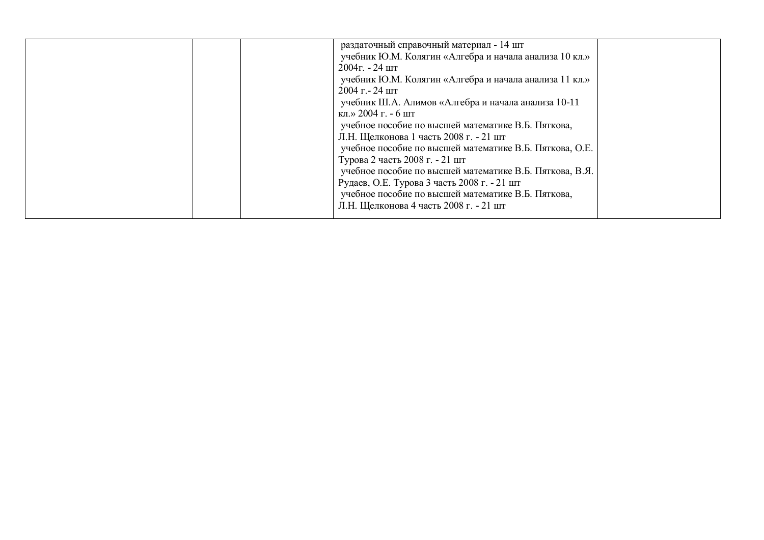| раздаточный справочный материал - 14 шт                 |  |
|---------------------------------------------------------|--|
| учебник Ю.М. Колягин «Алгебра и начала анализа 10 кл.»  |  |
| $2004$ $\Gamma$ . - 24 $\mu$ T                          |  |
| учебник Ю.М. Колягин «Алгебра и начала анализа 11 кл.»  |  |
| $2004$ r. - 24 $\mu$ T                                  |  |
| учебник Ш.А. Алимов «Алгебра и начала анализа 10-11     |  |
| кл.» 2004 г. - 6 шт                                     |  |
| учебное пособие по высшей математике В.Б. Пяткова,      |  |
| Л.Н. Щелконова 1 часть 2008 г. - 21 шт                  |  |
| учебное пособие по высшей математике В.Б. Пяткова, О.Е. |  |
| Турова 2 часть 2008 г. - 21 шт                          |  |
| учебное пособие по высшей математике В.Б. Пяткова, В.Я. |  |
| Рудаев, О.Е. Турова 3 часть 2008 г. - 21 шт             |  |
| учебное пособие по высшей математике В.Б. Пяткова,      |  |
| Л.Н. Щелконова 4 часть 2008 г. - 21 шт                  |  |
|                                                         |  |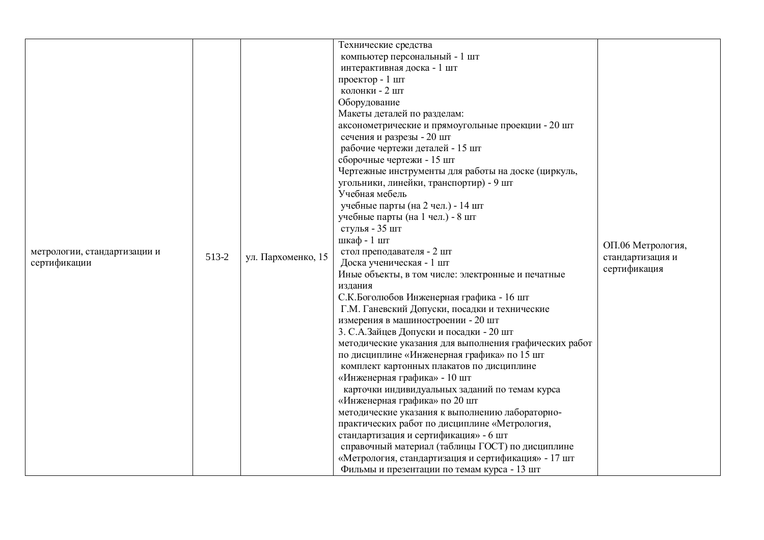|                              |       |                    | Технические средства                                                                               |                   |
|------------------------------|-------|--------------------|----------------------------------------------------------------------------------------------------|-------------------|
|                              |       |                    | компьютер персональный - 1 шт                                                                      |                   |
|                              |       |                    | интерактивная доска - 1 шт                                                                         |                   |
|                              |       |                    | проектор - 1 шт                                                                                    |                   |
|                              |       |                    | колонки - 2 шт                                                                                     |                   |
|                              |       |                    | Оборудование                                                                                       |                   |
|                              |       |                    | Макеты деталей по разделам:                                                                        |                   |
|                              |       |                    | аксонометрические и прямоугольные проекции - 20 шт<br>сечения и разрезы - 20 шт                    |                   |
|                              |       |                    | рабочие чертежи деталей - 15 шт                                                                    |                   |
|                              |       |                    | сборочные чертежи - 15 шт                                                                          |                   |
|                              |       |                    | Чертежные инструменты для работы на доске (циркуль,                                                |                   |
|                              |       |                    | угольники, линейки, транспортир) - 9 шт                                                            |                   |
|                              |       |                    | Учебная мебель                                                                                     |                   |
|                              |       |                    | учебные парты (на 2 чел.) - 14 шт                                                                  |                   |
|                              |       |                    | учебные парты (на 1 чел.) - 8 шт                                                                   |                   |
|                              |       |                    | стулья - 35 шт                                                                                     |                   |
|                              | 513-2 |                    | шкаф - 1 шт                                                                                        | ОП.06 Метрология, |
| метрологии, стандартизации и |       | ул. Пархоменко, 15 | стол преподавателя - 2 шт                                                                          | стандартизация и  |
| сертификации                 |       |                    | Доска ученическая - 1 шт                                                                           | сертификация      |
|                              |       |                    | Иные объекты, в том числе: электронные и печатные                                                  |                   |
|                              |       |                    | издания                                                                                            |                   |
|                              |       |                    | С.К.Боголюбов Инженерная графика - 16 шт<br>Г.М. Ганевский Допуски, посадки и технические          |                   |
|                              |       |                    | измерения в машиностроении - 20 шт                                                                 |                   |
|                              |       |                    | 3. С.А. Зайцев Допуски и посадки - 20 шт                                                           |                   |
|                              |       |                    | методические указания для выполнения графических работ                                             |                   |
|                              |       |                    | по дисциплине «Инженерная графика» по 15 шт                                                        |                   |
|                              |       |                    | комплект картонных плакатов по дисциплине                                                          |                   |
|                              |       |                    | «Инженерная графика» - 10 шт                                                                       |                   |
|                              |       |                    | карточки индивидуальных заданий по темам курса                                                     |                   |
|                              |       |                    | «Инженерная графика» по 20 шт                                                                      |                   |
|                              |       |                    | методические указания к выполнению лабораторно-                                                    |                   |
|                              |       |                    | практических работ по дисциплине «Метрология,                                                      |                   |
|                              |       |                    | стандартизация и сертификация» - 6 шт                                                              |                   |
|                              |       |                    | справочный материал (таблицы ГОСТ) по дисциплине                                                   |                   |
|                              |       |                    |                                                                                                    |                   |
|                              |       |                    | «Метрология, стандартизация и сертификация» - 17 шт<br>Фильмы и презентации по темам курса - 13 шт |                   |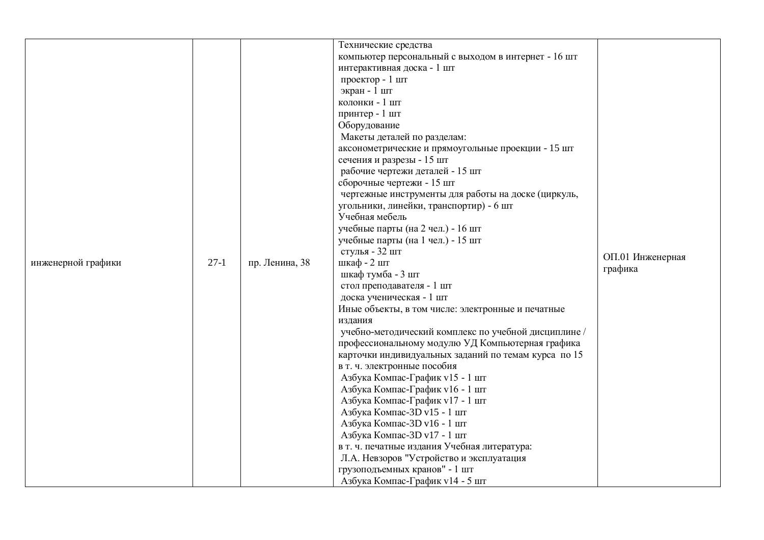| инженерной графики | $27-1$ | пр. Ленина, 38 | Технические средства<br>компьютер персональный с выходом в интернет - 16 шт<br>интерактивная доска - 1 шт<br>проектор - 1 шт<br>экран - 1 шт<br>колонки - 1 шт<br>принтер - 1 шт<br>Оборудование<br>Макеты деталей по разделам:<br>аксонометрические и прямоугольные проекции - 15 шт<br>сечения и разрезы - 15 шт<br>рабочие чертежи деталей - 15 шт<br>сборочные чертежи - 15 шт<br>чертежные инструменты для работы на доске (циркуль,<br>угольники, линейки, транспортир) - 6 шт<br>Учебная мебель<br>учебные парты (на 2 чел.) - 16 шт<br>учебные парты (на 1 чел.) - 15 шт<br>стулья - 32 шт<br>шкаф - 2 шт<br>шкаф тумба - 3 шт<br>стол преподавателя - 1 шт<br>доска ученическая - 1 шт<br>Иные объекты, в том числе: электронные и печатные<br>издания<br>учебно-методический комплекс по учебной дисциплине /<br>профессиональному модулю УД Компьютерная графика<br>карточки индивидуальных заданий по темам курса по 15<br>в т. ч. электронные пособия<br>Азбука Компас-График v15 - 1 шт<br>Азбука Компас-График v16 - 1 шт<br>Азбука Компас-График v17 - 1 шт | ОП.01 Инженерная<br>графика |
|--------------------|--------|----------------|-----------------------------------------------------------------------------------------------------------------------------------------------------------------------------------------------------------------------------------------------------------------------------------------------------------------------------------------------------------------------------------------------------------------------------------------------------------------------------------------------------------------------------------------------------------------------------------------------------------------------------------------------------------------------------------------------------------------------------------------------------------------------------------------------------------------------------------------------------------------------------------------------------------------------------------------------------------------------------------------------------------------------------------------------------------------------------|-----------------------------|
|                    |        |                | Азбука Компас-3D v15 - 1 шт<br>Азбука Компас-3D v16 - 1 шт<br>Азбука Компас-3D v17 - 1 шт<br>в т. ч. печатные издания Учебная литература:<br>Л.А. Невзоров "Устройство и эксплуатация<br>грузоподъемных кранов" - 1 шт<br>Азбука Компас-График v14 - 5 шт                                                                                                                                                                                                                                                                                                                                                                                                                                                                                                                                                                                                                                                                                                                                                                                                                   |                             |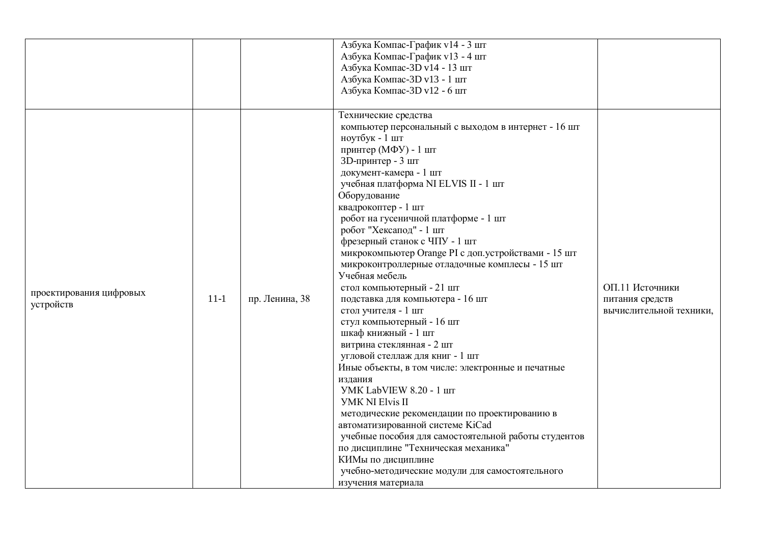|                                      |          |                | Азбука Компас-График v14 - 3 шт                                                                                                                                                                                                                                                                                                                                                                                                                                                                                                                                                                                                                                                                                                                                                                                                                                                                                                                   |                                                               |
|--------------------------------------|----------|----------------|---------------------------------------------------------------------------------------------------------------------------------------------------------------------------------------------------------------------------------------------------------------------------------------------------------------------------------------------------------------------------------------------------------------------------------------------------------------------------------------------------------------------------------------------------------------------------------------------------------------------------------------------------------------------------------------------------------------------------------------------------------------------------------------------------------------------------------------------------------------------------------------------------------------------------------------------------|---------------------------------------------------------------|
|                                      |          |                | Азбука Компас-График v13 - 4 шт                                                                                                                                                                                                                                                                                                                                                                                                                                                                                                                                                                                                                                                                                                                                                                                                                                                                                                                   |                                                               |
|                                      |          |                | Азбука Компас-3D v14 - 13 шт                                                                                                                                                                                                                                                                                                                                                                                                                                                                                                                                                                                                                                                                                                                                                                                                                                                                                                                      |                                                               |
|                                      |          |                | Азбука Компас-3D v13 - 1 шт                                                                                                                                                                                                                                                                                                                                                                                                                                                                                                                                                                                                                                                                                                                                                                                                                                                                                                                       |                                                               |
|                                      |          |                |                                                                                                                                                                                                                                                                                                                                                                                                                                                                                                                                                                                                                                                                                                                                                                                                                                                                                                                                                   |                                                               |
|                                      |          |                |                                                                                                                                                                                                                                                                                                                                                                                                                                                                                                                                                                                                                                                                                                                                                                                                                                                                                                                                                   |                                                               |
| проектирования цифровых<br>устройств | $11 - 1$ | пр. Ленина, 38 | Азбука Компас-3D v12 - 6 шт<br>Технические средства<br>компьютер персональный с выходом в интернет - 16 шт<br>ноутбук - 1 шт<br>принтер (МФУ) - 1 шт<br>3D-принтер - 3 шт<br>документ-камера - 1 шт<br>учебная платформа NI ELVIS II - 1 шт<br>Оборудование<br>квадрокоптер - 1 шт<br>робот на гусеничной платформе - 1 шт<br>робот "Хексапод" - 1 шт<br>фрезерный станок с ЧПУ - 1 шт<br>микрокомпьютер Orange PI с доп. устройствами - 15 шт<br>микроконтроллерные отладочные комплесы - 15 шт<br>Учебная мебель<br>стол компьютерный - 21 шт<br>подставка для компьютера - 16 шт<br>стол учителя - 1 шт<br>стул компьютерный - 16 шт<br>шкаф книжный - 1 шт<br>витрина стеклянная - 2 шт<br>угловой стеллаж для книг - 1 шт<br>Иные объекты, в том числе: электронные и печатные<br>издания<br><b>YMK LabVIEW 8.20 - 1 IIIT</b><br><b>YMK NI Elvis II</b><br>методические рекомендации по проектированию в<br>автоматизированной системе KiCad | ОП.11 Источники<br>питания средств<br>вычислительной техники, |
|                                      |          |                | учебные пособия для самостоятельной работы студентов<br>по дисциплине "Техническая механика"                                                                                                                                                                                                                                                                                                                                                                                                                                                                                                                                                                                                                                                                                                                                                                                                                                                      |                                                               |
|                                      |          |                | КИМы по дисциплине                                                                                                                                                                                                                                                                                                                                                                                                                                                                                                                                                                                                                                                                                                                                                                                                                                                                                                                                |                                                               |
|                                      |          |                | учебно-методические модули для самостоятельного                                                                                                                                                                                                                                                                                                                                                                                                                                                                                                                                                                                                                                                                                                                                                                                                                                                                                                   |                                                               |
|                                      |          |                | изучения материала                                                                                                                                                                                                                                                                                                                                                                                                                                                                                                                                                                                                                                                                                                                                                                                                                                                                                                                                |                                                               |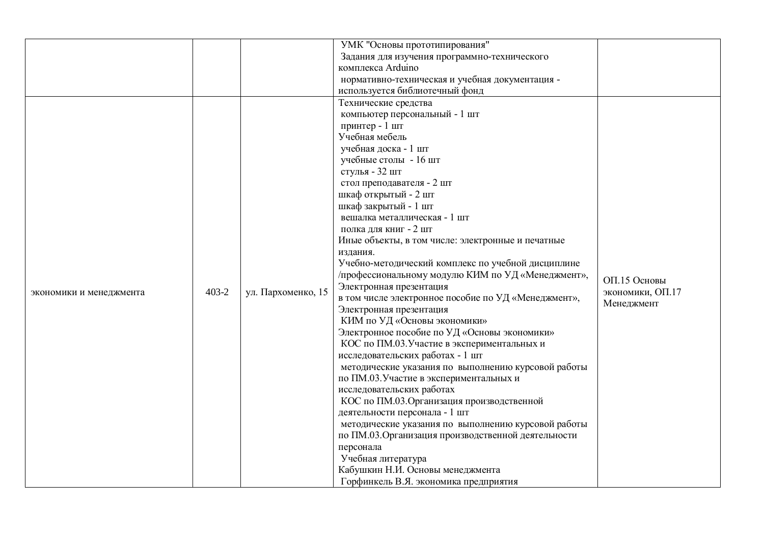|                         |           |                    | УМК "Основы прототипирования"                       |                  |
|-------------------------|-----------|--------------------|-----------------------------------------------------|------------------|
|                         |           |                    | Задания для изучения программно-технического        |                  |
|                         |           |                    | комплекса Arduino                                   |                  |
|                         |           |                    | нормативно-техническая и учебная документация -     |                  |
|                         |           |                    | используется библиотечный фонд                      |                  |
|                         |           |                    | Технические средства                                |                  |
|                         |           |                    | компьютер персональный - 1 шт                       |                  |
|                         |           |                    | принтер - 1 шт                                      |                  |
|                         |           |                    | Учебная мебель                                      |                  |
|                         |           |                    | учебная доска - 1 шт                                |                  |
|                         |           |                    | учебные столы - 16 шт                               |                  |
|                         |           |                    | стулья - 32 шт                                      |                  |
|                         |           |                    | стол преподавателя - 2 шт                           |                  |
|                         |           |                    | шкаф открытый - 2 шт                                |                  |
|                         |           |                    | шкаф закрытый - 1 шт                                |                  |
|                         |           |                    | вешалка металлическая - 1 шт                        |                  |
|                         |           |                    | полка для книг - 2 шт                               |                  |
|                         |           |                    | Иные объекты, в том числе: электронные и печатные   |                  |
|                         |           |                    | издания.                                            |                  |
|                         |           |                    | Учебно-методический комплекс по учебной дисциплине  |                  |
|                         |           |                    | /профессиональному модулю КИМ по УД «Менеджмент»,   |                  |
|                         |           |                    | Электронная презентация                             | ОП.15 Основы     |
| экономики и менеджмента | $403 - 2$ | ул. Пархоменко, 15 | в том числе электронное пособие по УД «Менеджмент», | экономики, ОП.17 |
|                         |           |                    | Электронная презентация                             | Менеджмент       |
|                         |           |                    | КИМ по УД «Основы экономики»                        |                  |
|                         |           |                    | Электронное пособие по УД «Основы экономики»        |                  |
|                         |           |                    | КОС по ПМ.03. Участие в экспериментальных и         |                  |
|                         |           |                    | исследовательских работах - 1 шт                    |                  |
|                         |           |                    | методические указания по выполнению курсовой работы |                  |
|                         |           |                    | по ПМ.03. Участие в экспериментальных и             |                  |
|                         |           |                    | исследовательских работах                           |                  |
|                         |           |                    | КОС по ПМ.03. Организация производственной          |                  |
|                         |           |                    | деятельности персонала - 1 шт                       |                  |
|                         |           |                    | методические указания по выполнению курсовой работы |                  |
|                         |           |                    | по ПМ.03. Организация производственной деятельности |                  |
|                         |           |                    | персонала                                           |                  |
|                         |           |                    | Учебная литература                                  |                  |
|                         |           |                    | Кабушкин Н.И. Основы менеджмента                    |                  |
|                         |           |                    | Горфинкель В.Я. экономика предприятия               |                  |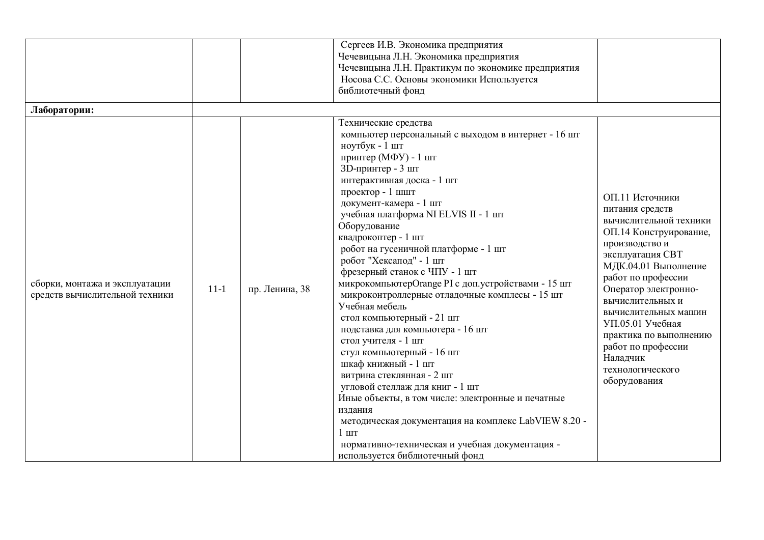| Лаборатории:                                                     |                          | Сергеев И.В. Экономика предприятия<br>Чечевицына Л.Н. Экономика предприятия<br>Чечевицына Л.Н. Практикум по экономике предприятия<br>Носова С.С. Основы экономики Используется<br>библиотечный фонд                                                                                                                                                                                                                                                                                                                                                                                                                                                                                                                                                                                                                                                                                                                                                                            |                                                                                                                                                                                                                                                                                                                                                                    |
|------------------------------------------------------------------|--------------------------|--------------------------------------------------------------------------------------------------------------------------------------------------------------------------------------------------------------------------------------------------------------------------------------------------------------------------------------------------------------------------------------------------------------------------------------------------------------------------------------------------------------------------------------------------------------------------------------------------------------------------------------------------------------------------------------------------------------------------------------------------------------------------------------------------------------------------------------------------------------------------------------------------------------------------------------------------------------------------------|--------------------------------------------------------------------------------------------------------------------------------------------------------------------------------------------------------------------------------------------------------------------------------------------------------------------------------------------------------------------|
| сборки, монтажа и эксплуатации<br>средств вычислительной техники | $11-1$<br>пр. Ленина, 38 | Технические средства<br>компьютер персональный с выходом в интернет - 16 шт<br>ноутбук - 1 шт<br>принтер (МФУ) - 1 шт<br>3D-принтер - 3 шт<br>интерактивная доска - 1 шт<br>проектор - 1 шшт<br>документ-камера - 1 шт<br>учебная платформа NI ELVIS II - 1 шт<br>Оборудование<br>квадрокоптер - 1 шт<br>робот на гусеничной платформе - 1 шт<br>робот "Хексапод" - 1 шт<br>фрезерный станок с ЧПУ - 1 шт<br>микрокомпьютерОтаnge PI с доп. устройствами - 15 шт<br>микроконтроллерные отладочные комплесы - 15 шт<br>Учебная мебель<br>стол компьютерный - 21 шт<br>подставка для компьютера - 16 шт<br>стол учителя - 1 шт<br>стул компьютерный - 16 шт<br>шкаф книжный - 1 шт<br>витрина стеклянная - 2 шт<br>угловой стеллаж для книг - 1 шт<br>Иные объекты, в том числе: электронные и печатные<br>издания<br>методическая документация на комплекс LabVIEW 8.20 -<br>$1 \text{ m}$<br>нормативно-техническая и учебная документация -<br>используется библиотечный фонд | ОП.11 Источники<br>питания средств<br>вычислительной техники<br>ОП.14 Конструирование,<br>производство и<br>эксплуатация СВТ<br>МДК.04.01 Выполнение<br>работ по профессии<br>Оператор электронно-<br>вычислительных и<br>вычислительных машин<br>УП.05.01 Учебная<br>практика по выполнению<br>работ по профессии<br>Наладчик<br>технологического<br>оборудования |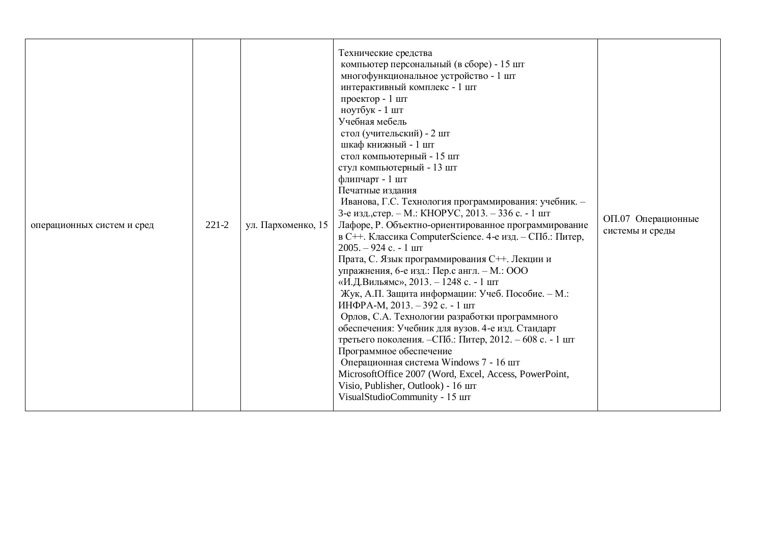| операционных систем и сред | $221 - 2$ | ул. Пархоменко, 15 | Технические средства<br>компьютер персональный (в сборе) - 15 шт<br>многофункциональное устройство - 1 шт<br>интерактивный комплекс - 1 шт<br>проектор - 1 шт<br>ноутбук - 1 шт<br>Учебная мебель<br>стол (учительский) - 2 шт<br>шкаф книжный - 1 шт<br>стол компьютерный - 15 шт<br>стул компьютерный - 13 шт<br>флипчарт - 1 шт<br>Печатные издания<br>Иванова, Г.С. Технология программирования: учебник. -<br>3-е изд., стер. – М.: КНОРУС, 2013. – 336 с. - 1 шт<br>Лафоре, Р. Объектно-ориентированное программирование<br>в С++. Классика ComputerScience. 4-е изд. - СПб.: Питер,<br>$2005. - 924$ c. - 1 $\text{I}$<br>Прата, С. Язык программирования С++. Лекции и<br>упражнения, 6-е изд.: Пер.с англ. - М.: ООО<br>«И.Д.Вильямс», 2013. - 1248 с. - 1 шт<br>Жук, А.П. Защита информации: Учеб. Пособие. - М.:<br>ИНФРА-М, 2013. - 392 с. - 1 шт<br>Орлов, С.А. Технологии разработки программного<br>обеспечения: Учебник для вузов. 4-е изд. Стандарт<br>третьего поколения. - СПб.: Питер, 2012. - 608 с. - 1 шт<br>Программное обеспечение<br>Операционная система Windows 7 - 16 шт<br>MicrosoftOffice 2007 (Word, Excel, Access, PowerPoint,<br>Visio, Publisher, Outlook) - 16 шт<br>VisualStudioCommunity - 15 шт | ОП.07 Операционные<br>системы и среды |
|----------------------------|-----------|--------------------|----------------------------------------------------------------------------------------------------------------------------------------------------------------------------------------------------------------------------------------------------------------------------------------------------------------------------------------------------------------------------------------------------------------------------------------------------------------------------------------------------------------------------------------------------------------------------------------------------------------------------------------------------------------------------------------------------------------------------------------------------------------------------------------------------------------------------------------------------------------------------------------------------------------------------------------------------------------------------------------------------------------------------------------------------------------------------------------------------------------------------------------------------------------------------------------------------------------------------------------|---------------------------------------|
|----------------------------|-----------|--------------------|----------------------------------------------------------------------------------------------------------------------------------------------------------------------------------------------------------------------------------------------------------------------------------------------------------------------------------------------------------------------------------------------------------------------------------------------------------------------------------------------------------------------------------------------------------------------------------------------------------------------------------------------------------------------------------------------------------------------------------------------------------------------------------------------------------------------------------------------------------------------------------------------------------------------------------------------------------------------------------------------------------------------------------------------------------------------------------------------------------------------------------------------------------------------------------------------------------------------------------------|---------------------------------------|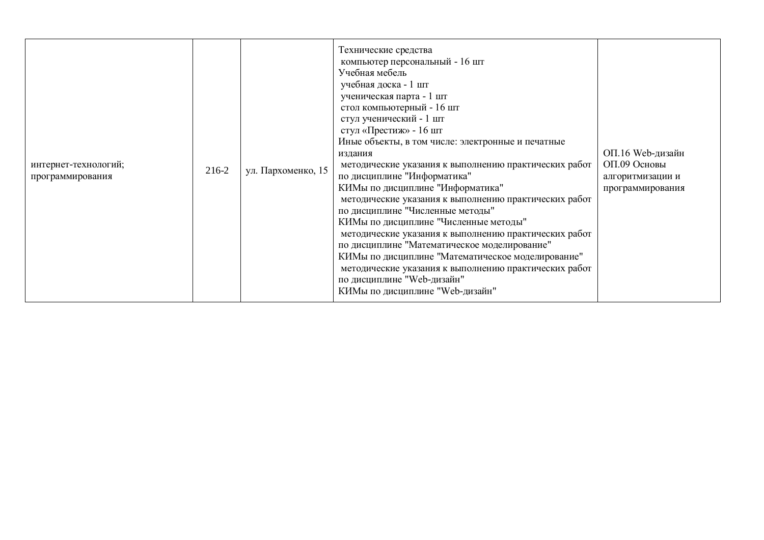| интернет-технологий;<br>программирования | 216-2 | ул. Пархоменко, 15 | Технические средства<br>компьютер персональный - 16 шт<br>Учебная мебель<br>учебная доска - 1 шт<br>ученическая парта - 1 шт<br>стол компьютерный - 16 шт<br>стул ученический - 1 шт<br>стул «Престиж» - 16 шт<br>Иные объекты, в том числе: электронные и печатные<br>издания<br>методические указания к выполнению практических работ<br>по дисциплине "Информатика"<br>КИМы по дисциплине "Информатика"<br>методические указания к выполнению практических работ<br>по дисциплине "Численные методы"<br>КИМы по дисциплине "Численные методы"<br>методические указания к выполнению практических работ<br>по дисциплине "Математическое моделирование"<br>КИМы по дисциплине "Математическое моделирование"<br>методические указания к выполнению практических работ<br>по дисциплине "Web-дизайн"<br>КИМы по дисциплине "Web-дизайн" | ОП.16 Web-дизайн<br>ОП.09 Основы<br>алгоритмизации и<br>программирования |
|------------------------------------------|-------|--------------------|------------------------------------------------------------------------------------------------------------------------------------------------------------------------------------------------------------------------------------------------------------------------------------------------------------------------------------------------------------------------------------------------------------------------------------------------------------------------------------------------------------------------------------------------------------------------------------------------------------------------------------------------------------------------------------------------------------------------------------------------------------------------------------------------------------------------------------------|--------------------------------------------------------------------------|
|------------------------------------------|-------|--------------------|------------------------------------------------------------------------------------------------------------------------------------------------------------------------------------------------------------------------------------------------------------------------------------------------------------------------------------------------------------------------------------------------------------------------------------------------------------------------------------------------------------------------------------------------------------------------------------------------------------------------------------------------------------------------------------------------------------------------------------------------------------------------------------------------------------------------------------------|--------------------------------------------------------------------------|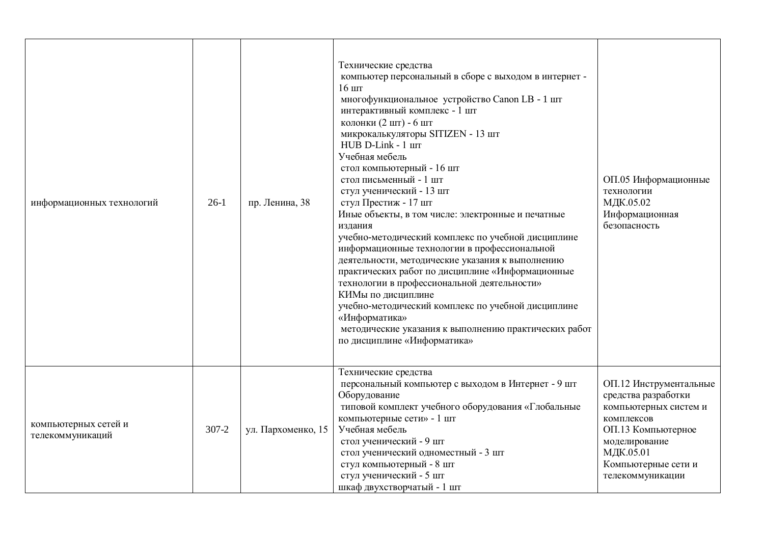| информационных технологий                | $26-1$    | пр. Ленина, 38     | Технические средства<br>компьютер персональный в сборе с выходом в интернет -<br>$16 \text{ m}$<br>многофункциональное устройство Canon LB - 1 шт<br>интерактивный комплекс - 1 шт<br>колонки (2 шт) - 6 шт<br>микрокалькуляторы SITIZEN - 13 шт<br>HUB D-Link - 1 IIIT<br>Учебная мебель<br>стол компьютерный - 16 шт<br>стол письменный - 1 шт<br>стул ученический - 13 шт<br>стул Престиж - 17 шт<br>Иные объекты, в том числе: электронные и печатные<br>издания<br>учебно-методический комплекс по учебной дисциплине<br>информационные технологии в профессиональной<br>деятельности, методические указания к выполнению<br>практических работ по дисциплине «Информационные<br>технологии в профессиональной деятельности»<br>КИМы по дисциплине<br>учебно-методический комплекс по учебной дисциплине<br>«Информатика»<br>методические указания к выполнению практических работ<br>по дисциплине «Информатика» | ОП.05 Информационные<br>технологии<br>МДК.05.02<br>Информационная<br>безопасность                                                                                                   |
|------------------------------------------|-----------|--------------------|------------------------------------------------------------------------------------------------------------------------------------------------------------------------------------------------------------------------------------------------------------------------------------------------------------------------------------------------------------------------------------------------------------------------------------------------------------------------------------------------------------------------------------------------------------------------------------------------------------------------------------------------------------------------------------------------------------------------------------------------------------------------------------------------------------------------------------------------------------------------------------------------------------------------|-------------------------------------------------------------------------------------------------------------------------------------------------------------------------------------|
| компьютерных сетей и<br>телекоммуникаций | $307 - 2$ | ул. Пархоменко, 15 | Технические средства<br>персональный компьютер с выходом в Интернет - 9 шт<br>Оборудование<br>типовой комплект учебного оборудования «Глобальные<br>компьютерные сети» - 1 шт<br>Учебная мебель<br>стол ученический - 9 шт<br>стол ученический одноместный - 3 шт<br>стул компьютерный - 8 шт<br>стул ученический - 5 шт<br>шкаф двухстворчатый - 1 шт                                                                                                                                                                                                                                                                                                                                                                                                                                                                                                                                                                 | ОП.12 Инструментальные<br>средства разработки<br>компьютерных систем и<br>комплексов<br>ОП.13 Компьютерное<br>моделирование<br>МДК.05.01<br>Компьютерные сети и<br>телекоммуникации |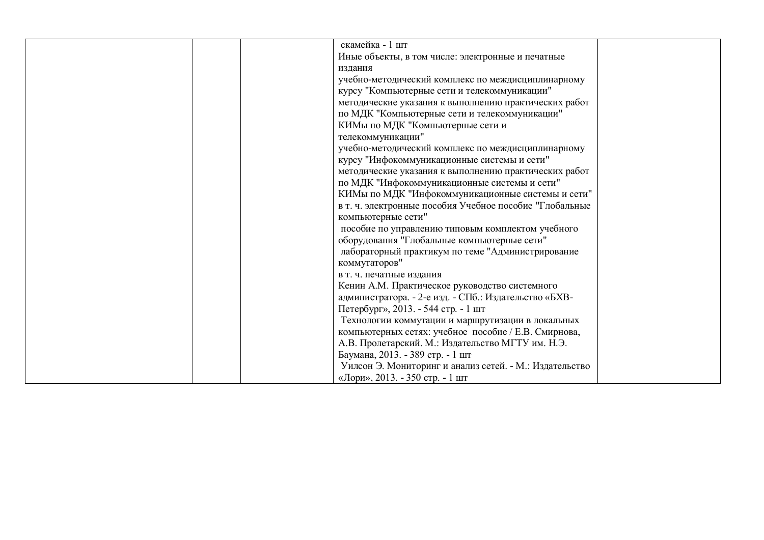| скамейка - 1 шт                                         |  |
|---------------------------------------------------------|--|
| Иные объекты, в том числе: электронные и печатные       |  |
| издания                                                 |  |
| учебно-методический комплекс по междисциплинарному      |  |
| курсу "Компьютерные сети и телекоммуникации"            |  |
| методические указания к выполнению практических работ   |  |
| по МДК "Компьютерные сети и телекоммуникации"           |  |
| КИМы по МДК "Компьютерные сети и                        |  |
| телекоммуникации"                                       |  |
| учебно-методический комплекс по междисциплинарному      |  |
| курсу "Инфокоммуникационные системы и сети"             |  |
| методические указания к выполнению практических работ   |  |
| по МДК "Инфокоммуникационные системы и сети"            |  |
| КИМы по МДК "Инфокоммуникационные системы и сети"       |  |
| в т. ч. электронные пособия Учебное пособие "Глобальные |  |
| компьютерные сети"                                      |  |
| пособие по управлению типовым комплектом учебного       |  |
| оборудования "Глобальные компьютерные сети"             |  |
| лабораторный практикум по теме "Администрирование       |  |
| коммутаторов"                                           |  |
| в т. ч. печатные издания                                |  |
| Кенин А.М. Практическое руководство системного          |  |
| администратора. - 2-е изд. - СПб.: Издательство «БХВ-   |  |
| Петербург», 2013. - 544 стр. - 1 шт                     |  |
| Технологии коммутации и маршрутизации в локальных       |  |
| компьютерных сетях: учебное пособие / Е.В. Смирнова,    |  |
| А.В. Пролетарский. М.: Издательство МГТУ им. Н.Э.       |  |
| Баумана, 2013. - 389 стр. - 1 шт                        |  |
| Уилсон Э. Мониторинг и анализ сетей. - М.: Издательство |  |
| «Лори», 2013. - 350 стр. - 1 шт                         |  |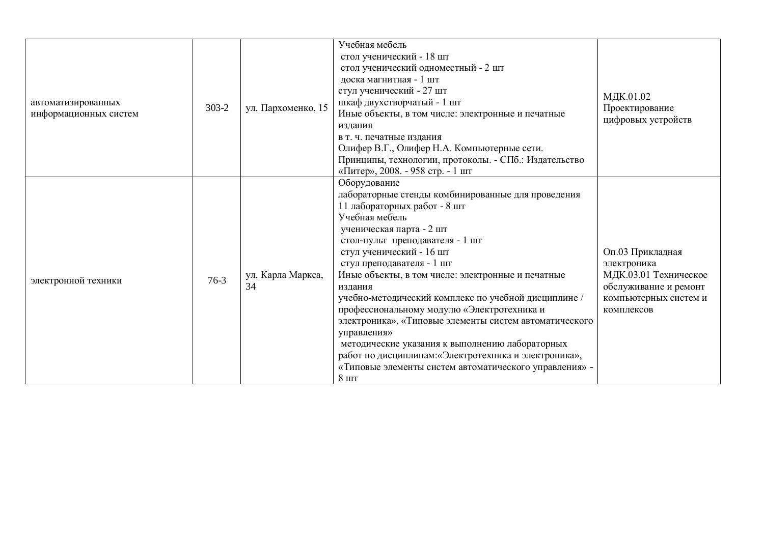| автоматизированных    | $303 - 2$ | ул. Пархоменко, 15      | Учебная мебель<br>стол ученический - 18 шт<br>стол ученический одноместный - 2 шт<br>доска магнитная - 1 шт<br>стул ученический - 27 шт<br>шкаф двухстворчатый - 1 шт                                                                                                                                                                                                                                                                                                                                                                                                                                                                                                              | МДК.01.02<br>Проектирование                                                                                              |
|-----------------------|-----------|-------------------------|------------------------------------------------------------------------------------------------------------------------------------------------------------------------------------------------------------------------------------------------------------------------------------------------------------------------------------------------------------------------------------------------------------------------------------------------------------------------------------------------------------------------------------------------------------------------------------------------------------------------------------------------------------------------------------|--------------------------------------------------------------------------------------------------------------------------|
| информационных систем |           |                         | Иные объекты, в том числе: электронные и печатные<br>издания<br>в т. ч. печатные издания<br>Олифер В.Г., Олифер Н.А. Компьютерные сети.<br>Принципы, технологии, протоколы. - СПб.: Издательство<br>«Питер», 2008. - 958 стр. - 1 шт                                                                                                                                                                                                                                                                                                                                                                                                                                               | цифровых устройств                                                                                                       |
| электронной техники   | $76-3$    | ул. Карла Маркса,<br>34 | Оборудование<br>лабораторные стенды комбинированные для проведения<br>11 лабораторных работ - 8 шт<br>Учебная мебель<br>ученическая парта - 2 шт<br>стол-пульт преподавателя - 1 шт<br>стул ученический - 16 шт<br>стул преподавателя - 1 шт<br>Иные объекты, в том числе: электронные и печатные<br>издания<br>учебно-методический комплекс по учебной дисциплине /<br>профессиональному модулю «Электротехника и<br>электроника», «Типовые элементы систем автоматического<br>управления»<br>методические указания к выполнению лабораторных<br>работ по дисциплинам: «Электротехника и электроника»,<br>«Типовые элементы систем автоматического управления» -<br>$8 \text{ m}$ | Оп.03 Прикладная<br>электроника<br>МДК.03.01 Техническое<br>обслуживание и ремонт<br>компьютерных систем и<br>комплексов |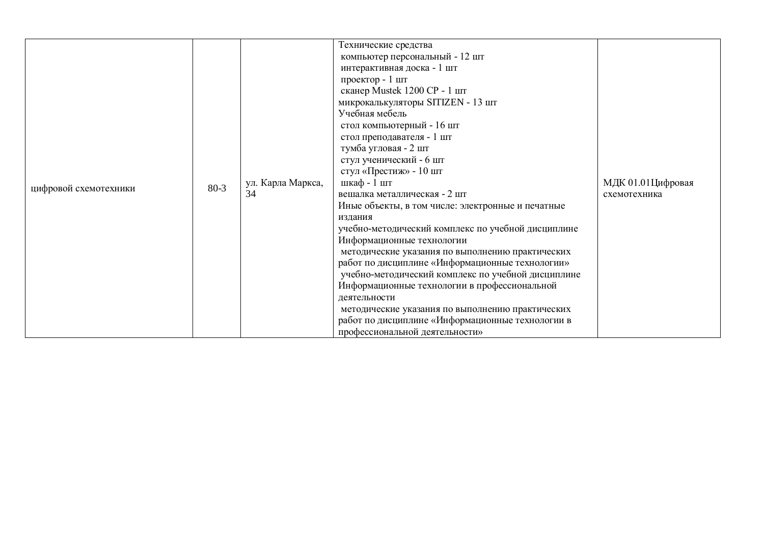|                       |          |                         | Технические средства<br>компьютер персональный - 12 шт<br>интерактивная доска - 1 шт<br>проектор - 1 шт<br>сканер Mustek 1200 CP - 1 шт<br>микрокалькуляторы SITIZEN - 13 шт                                                                                                                                                                                                                                                                                                                                                                                                                                                                                                                                                   |                                   |
|-----------------------|----------|-------------------------|--------------------------------------------------------------------------------------------------------------------------------------------------------------------------------------------------------------------------------------------------------------------------------------------------------------------------------------------------------------------------------------------------------------------------------------------------------------------------------------------------------------------------------------------------------------------------------------------------------------------------------------------------------------------------------------------------------------------------------|-----------------------------------|
| цифровой схемотехники | $80 - 3$ | ул. Карла Маркса,<br>34 | Учебная мебель<br>стол компьютерный - 16 шт<br>стол преподавателя - 1 шт<br>тумба угловая - 2 шт<br>стул ученический - 6 шт<br>стул «Престиж» - 10 шт<br>шкаф - 1 шт<br>вешалка металлическая - 2 шт<br>Иные объекты, в том числе: электронные и печатные<br>издания<br>учебно-методический комплекс по учебной дисциплине<br>Информационные технологии<br>методические указания по выполнению практических<br>работ по дисциплине «Информационные технологии»<br>учебно-методический комплекс по учебной дисциплине<br>Информационные технологии в профессиональной<br>леятельности<br>методические указания по выполнению практических<br>работ по дисциплине «Информационные технологии в<br>профессиональной деятельности» | МДК 01.01Цифровая<br>схемотехника |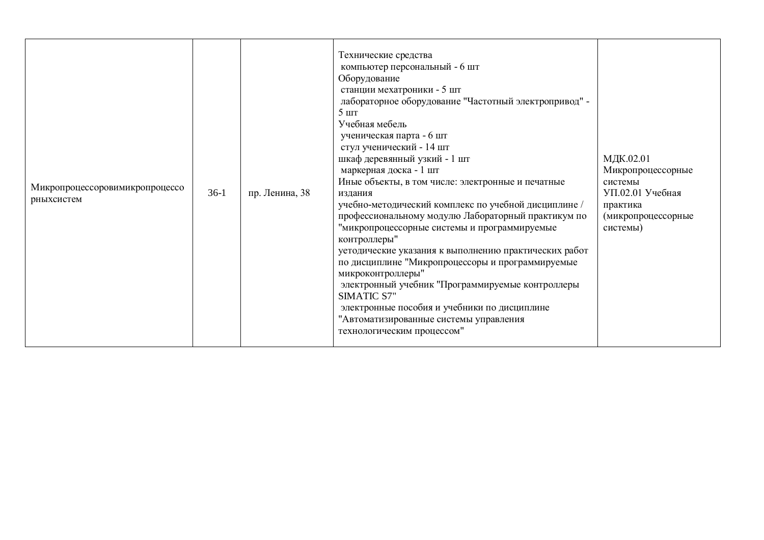| Микропроцессоровимикропроцессо<br>$36-1$<br>рныхсистем | пр. Ленина, 38 | Технические средства<br>компьютер персональный - 6 шт<br>Оборудование<br>станции мехатроники - 5 шт<br>лабораторное оборудование "Частотный электропривод" -<br>5 <sub>IIIT</sub><br>Учебная мебель<br>ученическая парта - 6 шт<br>стул ученический - 14 шт<br>шкаф деревянный узкий - 1 шт<br>маркерная доска - 1 шт<br>Иные объекты, в том числе: электронные и печатные<br>издания<br>учебно-методический комплекс по учебной дисциплине /<br>профессиональному модулю Лабораторный практикум по<br>"микропроцессорные системы и программируемые<br>контроллеры"<br>уетодические указания к выполнению практических работ<br>по дисциплине "Микропроцессоры и программируемые<br>микроконтроллеры"<br>электронный учебник "Программируемые контроллеры<br><b>SIMATIC S7"</b><br>электронные пособия и учебники по дисциплине<br>"Автоматизированные системы управления<br>технологическим процессом" | МДК.02.01<br>Микропроцессорные<br>системы<br>УП.02.01 Учебная<br>практика<br>(микропроцессорные<br>системы) |
|--------------------------------------------------------|----------------|---------------------------------------------------------------------------------------------------------------------------------------------------------------------------------------------------------------------------------------------------------------------------------------------------------------------------------------------------------------------------------------------------------------------------------------------------------------------------------------------------------------------------------------------------------------------------------------------------------------------------------------------------------------------------------------------------------------------------------------------------------------------------------------------------------------------------------------------------------------------------------------------------------|-------------------------------------------------------------------------------------------------------------|
|--------------------------------------------------------|----------------|---------------------------------------------------------------------------------------------------------------------------------------------------------------------------------------------------------------------------------------------------------------------------------------------------------------------------------------------------------------------------------------------------------------------------------------------------------------------------------------------------------------------------------------------------------------------------------------------------------------------------------------------------------------------------------------------------------------------------------------------------------------------------------------------------------------------------------------------------------------------------------------------------------|-------------------------------------------------------------------------------------------------------------|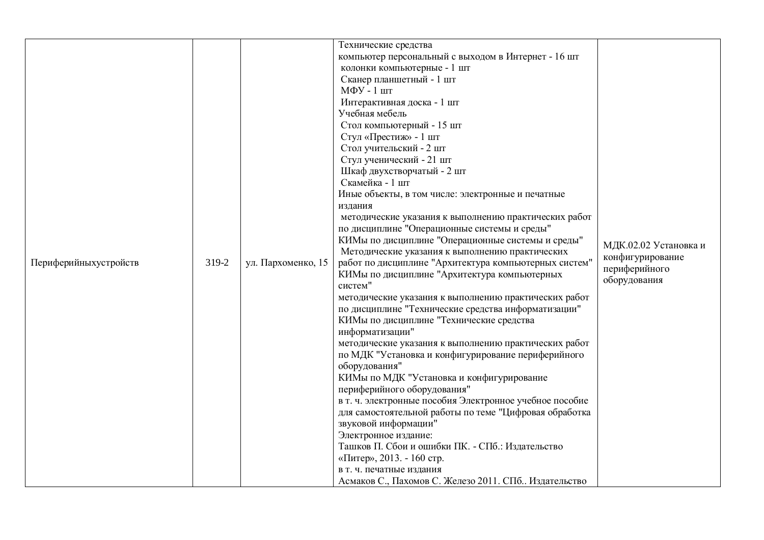| Периферийныхустройств | 319-2 | ул. Пархоменко, 15 | Технические средства<br>компьютер персональный с выходом в Интернет - 16 шт<br>колонки компьютерные - 1 шт<br>Сканер планшетный - 1 шт<br>МФУ - 1 шт<br>Интерактивная доска - 1 шт<br>Учебная мебель<br>Стол компьютерный - 15 шт<br>Стул «Престиж» - 1 шт<br>Стол учительский - 2 шт<br>Стул ученический - 21 шт<br>Шкаф двухстворчатый - 2 шт<br>Скамейка - 1 шт<br>Иные объекты, в том числе: электронные и печатные<br>издания<br>методические указания к выполнению практических работ<br>по дисциплине "Операционные системы и среды"<br>КИМы по дисциплине "Операционные системы и среды"<br>Методические указания к выполнению практических<br>работ по дисциплине "Архитектура компьютерных систем"<br>КИМы по дисциплине "Архитектура компьютерных<br>систем"<br>методические указания к выполнению практических работ<br>по дисциплине "Технические средства информатизации"<br>КИМы по дисциплине "Технические средства<br>информатизации"<br>методические указания к выполнению практических работ | МДК.02.02 Установка и<br>конфигурирование<br>периферийного<br>оборудования |
|-----------------------|-------|--------------------|-----------------------------------------------------------------------------------------------------------------------------------------------------------------------------------------------------------------------------------------------------------------------------------------------------------------------------------------------------------------------------------------------------------------------------------------------------------------------------------------------------------------------------------------------------------------------------------------------------------------------------------------------------------------------------------------------------------------------------------------------------------------------------------------------------------------------------------------------------------------------------------------------------------------------------------------------------------------------------------------------------------------|----------------------------------------------------------------------------|
|                       |       |                    | по МДК "Установка и конфигурирование периферийного                                                                                                                                                                                                                                                                                                                                                                                                                                                                                                                                                                                                                                                                                                                                                                                                                                                                                                                                                              |                                                                            |
|                       |       |                    | оборудования"<br>КИМы по МДК "Установка и конфигурирование<br>периферийного оборудования"<br>в т. ч. электронные пособия Электронное учебное пособие<br>для самостоятельной работы по теме "Цифровая обработка<br>звуковой информации"<br>Электронное издание:<br>Ташков П. Сбои и ошибки ПК. - СПб.: Издательство<br>«Питер», 2013. - 160 стр.<br>в т. ч. печатные издания<br>Асмаков С., Пахомов С. Железо 2011. СПб Издательство                                                                                                                                                                                                                                                                                                                                                                                                                                                                                                                                                                             |                                                                            |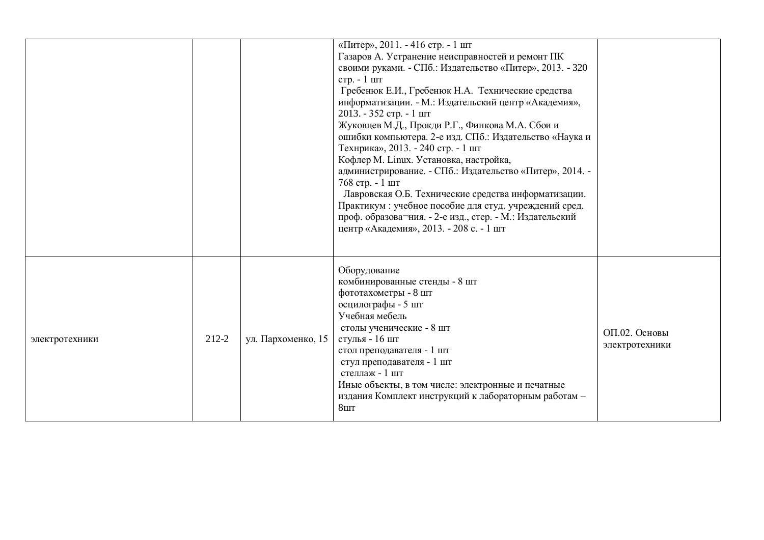|                |       |                    | «Питер», 2011. - 416 стр. - 1 шт<br>Газаров А. Устранение неисправностей и ремонт ПК<br>своими руками. - СПб.: Издательство «Питер», 2013. - 320<br>стр. - 1 шт<br>Гребенюк Е.И., Гребенюк Н.А. Технические средства<br>информатизации. - М.: Издательский центр «Академия»,<br>2013. - 352 стр. - 1 шт<br>Жуковцев М.Д., Прокди Р.Г., Финкова М.А. Сбои и<br>ошибки компьютера. 2-е изд. СПб.: Издательство «Наука и<br>Технрика», 2013. - 240 стр. - 1 шт<br>Кофлер М. Linux. Установка, настройка,<br>администрирование. - СПб.: Издательство «Питер», 2014. -<br>768 стр. - 1 шт<br>Лавровская О.Б. Технические средства информатизации.<br>Практикум: учебное пособие для студ. учреждений сред.<br>проф. образова-ния. - 2-е изд., стер. - М.: Издательский<br>центр «Академия», 2013. - 208 с. - 1 шт |                                 |
|----------------|-------|--------------------|--------------------------------------------------------------------------------------------------------------------------------------------------------------------------------------------------------------------------------------------------------------------------------------------------------------------------------------------------------------------------------------------------------------------------------------------------------------------------------------------------------------------------------------------------------------------------------------------------------------------------------------------------------------------------------------------------------------------------------------------------------------------------------------------------------------|---------------------------------|
| электротехники | 212-2 | ул. Пархоменко, 15 | Оборудование<br>комбинированные стенды - 8 шт<br>фототахометры - 8 шт<br>осцилографы - 5 шт<br>Учебная мебель<br>столы ученические - 8 шт<br>стулья - 16 шт<br>стол преподавателя - 1 шт<br>стул преподавателя - 1 шт<br>стеллаж - 1 шт<br>Иные объекты, в том числе: электронные и печатные<br>издания Комплект инструкций к лабораторным работам -<br>8 <sub>III</sub>                                                                                                                                                                                                                                                                                                                                                                                                                                     | ОП.02. Основы<br>электротехники |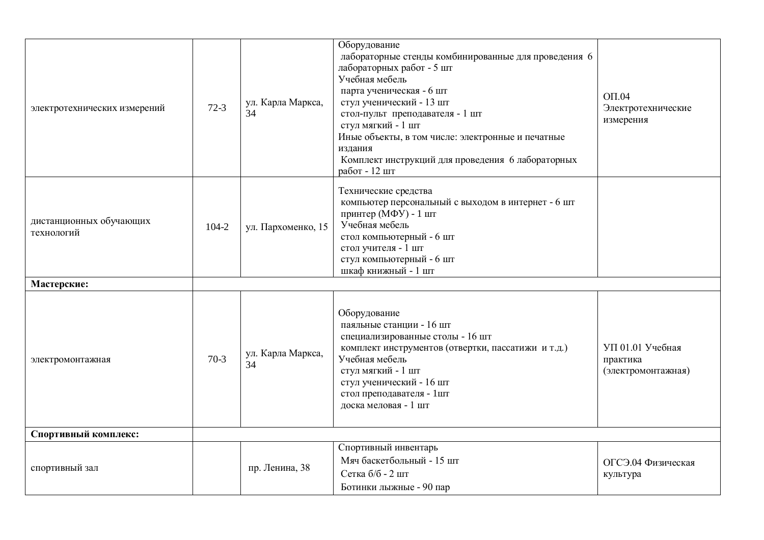| электротехнических измерений          | $72-3$ | ул. Карла Маркса,<br>34 | Оборудование<br>лабораторные стенды комбинированные для проведения 6<br>лабораторных работ - 5 шт<br>Учебная мебель<br>парта ученическая - 6 шт<br>стул ученический - 13 шт<br>стол-пульт преподавателя - 1 шт<br>стул мягкий - 1 шт                       | $O\Pi.04$<br>Электротехнические<br>измерения       |
|---------------------------------------|--------|-------------------------|------------------------------------------------------------------------------------------------------------------------------------------------------------------------------------------------------------------------------------------------------------|----------------------------------------------------|
|                                       |        |                         | Иные объекты, в том числе: электронные и печатные<br>издания<br>Комплект инструкций для проведения 6 лабораторных<br>работ - 12 шт                                                                                                                         |                                                    |
| дистанционных обучающих<br>технологий | 104-2  | ул. Пархоменко, 15      | Технические средства<br>компьютер персональный с выходом в интернет - 6 шт<br>принтер (МФУ) - 1 шт<br>Учебная мебель<br>стол компьютерный - 6 шт<br>стол учителя - 1 шт<br>стул компьютерный - 6 шт<br>шкаф книжный - 1 шт                                 |                                                    |
| Мастерские:                           |        |                         |                                                                                                                                                                                                                                                            |                                                    |
| электромонтажная                      | $70-3$ | ул. Карла Маркса,<br>34 | Оборудование<br>паяльные станции - 16 шт<br>специализированные столы - 16 шт<br>комплект инструментов (отвертки, пассатижи и т.д.)<br>Учебная мебель<br>стул мягкий - 1 шт<br>стул ученический - 16 шт<br>стол преподавателя - 1шт<br>доска меловая - 1 шт | УП 01.01 Учебная<br>практика<br>(электромонтажная) |
| Спортивный комплекс:                  |        |                         |                                                                                                                                                                                                                                                            |                                                    |
| спортивный зал                        |        | пр. Ленина, 38          | Спортивный инвентарь<br>Мяч баскетбольный - 15 шт<br>Сетка б/б - 2 шт<br>Ботинки лыжные - 90 пар                                                                                                                                                           | ОГСЭ.04 Физическая<br>культура                     |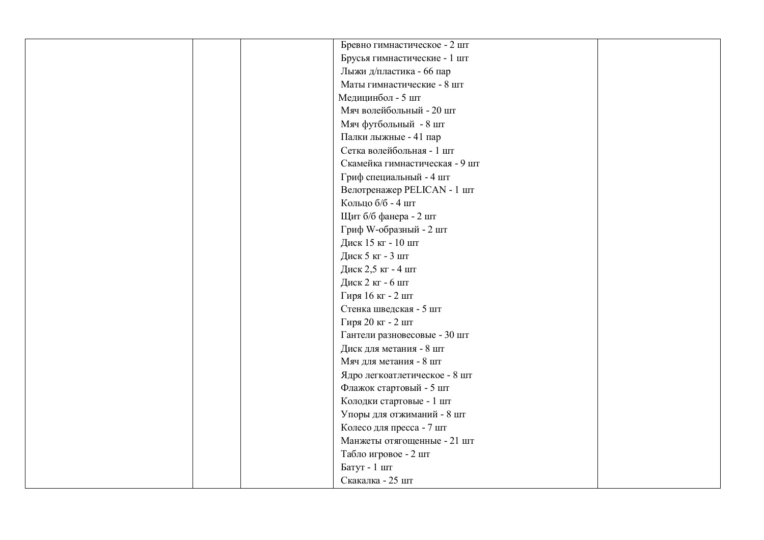| Бревно гимнастическое - 2 шт   |  |
|--------------------------------|--|
| Брусья гимнастические - 1 шт   |  |
| Лыжи д/пластика - 66 пар       |  |
| Маты гимнастические - 8 шт     |  |
| Медицинбол - 5 шт              |  |
| Мяч волейбольный - 20 шт       |  |
| Мяч футбольный - 8 шт          |  |
| Палки лыжные - 41 пар          |  |
| Сетка волейбольная - 1 шт      |  |
| Скамейка гимнастическая - 9 шт |  |
| Гриф специальный - 4 шт        |  |
| Велотренажер PELICAN - 1 шт    |  |
| Кольцо б/б - 4 шт              |  |
| Щит б/б фанера - 2 шт          |  |
| Гриф W-образный - 2 шт         |  |
| Диск 15 кг - 10 шт             |  |
| Диск 5 кг - 3 шт               |  |
| Диск 2,5 кг - 4 шт             |  |
| Диск 2 кг - 6 шт               |  |
| Гиря 16 кг - 2 шт              |  |
| Стенка шведская - 5 шт         |  |
| Гиря 20 кг - 2 шт              |  |
| Гантели разновесовые - 30 шт   |  |
| Диск для метания - 8 шт        |  |
| Мяч для метания - 8 шт         |  |
| Ядро легкоатлетическое - 8 шт  |  |
| Флажок стартовый - 5 шт        |  |
| Колодки стартовые - 1 шт       |  |
| Упоры для отжиманий - 8 шт     |  |
| Колесо для пресса - 7 шт       |  |
| Манжеты отягощенные - 21 шт    |  |
| Табло игровое - 2 шт           |  |
| Батут - 1 шт                   |  |
| Скакалка - 25 шт               |  |